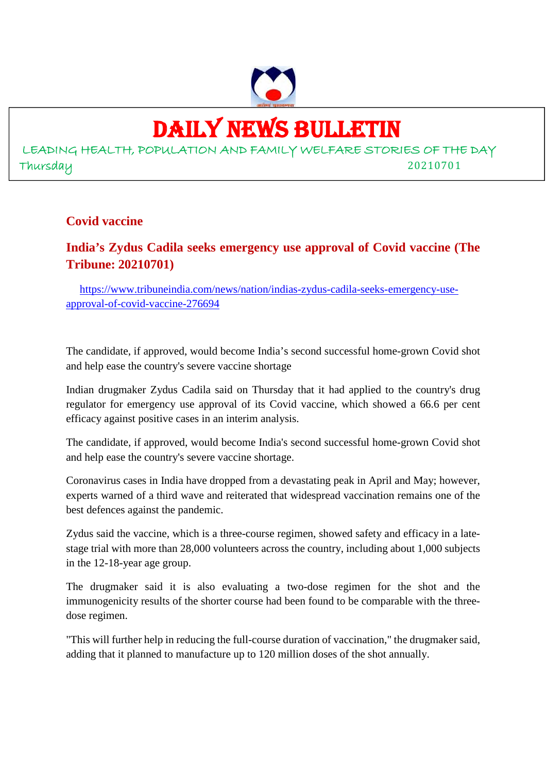

# DAILY NEWS BULLETIN

LEADING HEALTH, POPULATION AND FAMILY WELFARE STORIES OF THE DAY Thursday 20210701

### **Covid vaccine**

### **India's Zydus Cadila seeks emergency use approval of Covid vaccine (The Tribune: 20210701)**

https://www.tribuneindia.com/news/nation/indias-zydus-cadila-seeks-emergency-useapproval-of-covid-vaccine-276694

The candidate, if approved, would become India's second successful home-grown Covid shot and help ease the country's severe vaccine shortage

Indian drugmaker Zydus Cadila said on Thursday that it had applied to the country's drug regulator for emergency use approval of its Covid vaccine, which showed a 66.6 per cent efficacy against positive cases in an interim analysis.

The candidate, if approved, would become India's second successful home-grown Covid shot and help ease the country's severe vaccine shortage.

Coronavirus cases in India have dropped from a devastating peak in April and May; however, experts warned of a third wave and reiterated that widespread vaccination remains one of the best defences against the pandemic.

Zydus said the vaccine, which is a three-course regimen, showed safety and efficacy in a latestage trial with more than 28,000 volunteers across the country, including about 1,000 subjects in the 12-18-year age group.

The drugmaker said it is also evaluating a two-dose regimen for the shot and the immunogenicity results of the shorter course had been found to be comparable with the threedose regimen.

"This will further help in reducing the full-course duration of vaccination," the drugmaker said, adding that it planned to manufacture up to 120 million doses of the shot annually.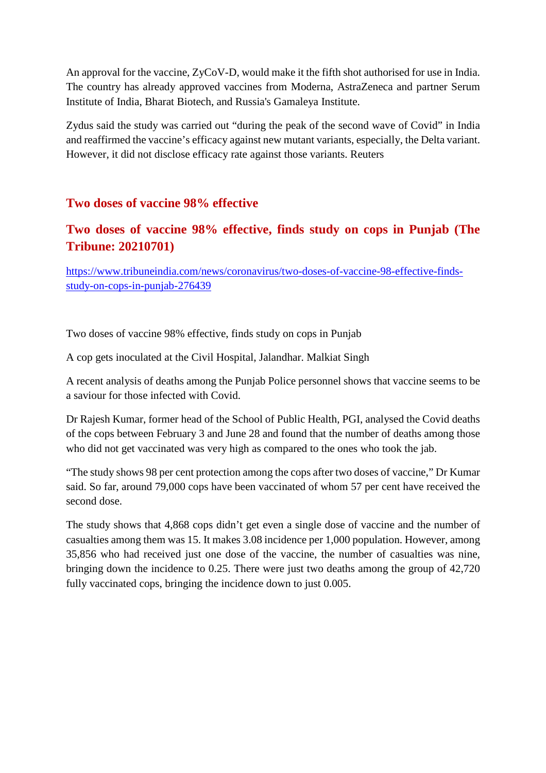An approval for the vaccine, ZyCoV-D, would make it the fifth shot authorised for use in India. The country has already approved vaccines from Moderna, AstraZeneca and partner Serum Institute of India, Bharat Biotech, and Russia's Gamaleya Institute.

Zydus said the study was carried out "during the peak of the second wave of Covid" in India and reaffirmed the vaccine's efficacy against new mutant variants, especially, the Delta variant. However, it did not disclose efficacy rate against those variants. Reuters

### **Two doses of vaccine 98% effective**

### **Two doses of vaccine 98% effective, finds study on cops in Punjab (The Tribune: 20210701)**

https://www.tribuneindia.com/news/coronavirus/two-doses-of-vaccine-98-effective-findsstudy-on-cops-in-punjab-276439

Two doses of vaccine 98% effective, finds study on cops in Punjab

A cop gets inoculated at the Civil Hospital, Jalandhar. Malkiat Singh

A recent analysis of deaths among the Punjab Police personnel shows that vaccine seems to be a saviour for those infected with Covid.

Dr Rajesh Kumar, former head of the School of Public Health, PGI, analysed the Covid deaths of the cops between February 3 and June 28 and found that the number of deaths among those who did not get vaccinated was very high as compared to the ones who took the jab.

"The study shows 98 per cent protection among the cops after two doses of vaccine," Dr Kumar said. So far, around 79,000 cops have been vaccinated of whom 57 per cent have received the second dose.

The study shows that 4,868 cops didn't get even a single dose of vaccine and the number of casualties among them was 15. It makes 3.08 incidence per 1,000 population. However, among 35,856 who had received just one dose of the vaccine, the number of casualties was nine, bringing down the incidence to 0.25. There were just two deaths among the group of 42,720 fully vaccinated cops, bringing the incidence down to just 0.005.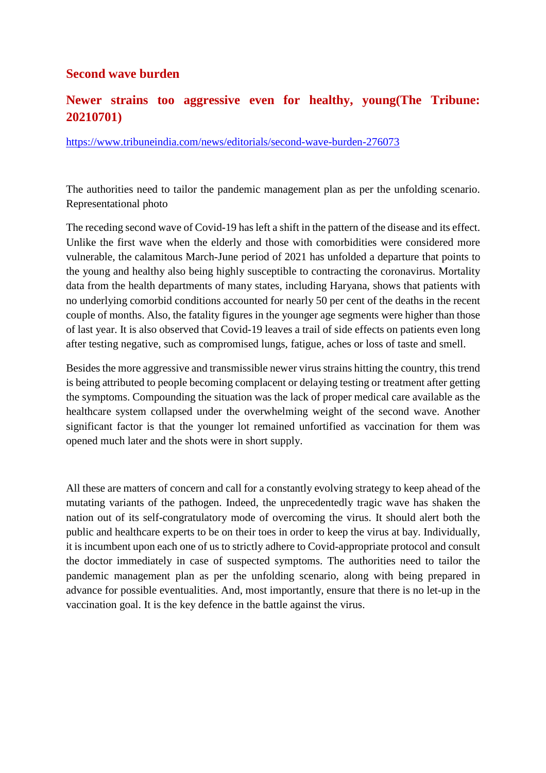### **Second wave burden**

### **Newer strains too aggressive even for healthy, young(The Tribune: 20210701)**

https://www.tribuneindia.com/news/editorials/second-wave-burden-276073

The authorities need to tailor the pandemic management plan as per the unfolding scenario. Representational photo

The receding second wave of Covid-19 has left a shift in the pattern of the disease and its effect. Unlike the first wave when the elderly and those with comorbidities were considered more vulnerable, the calamitous March-June period of 2021 has unfolded a departure that points to the young and healthy also being highly susceptible to contracting the coronavirus. Mortality data from the health departments of many states, including Haryana, shows that patients with no underlying comorbid conditions accounted for nearly 50 per cent of the deaths in the recent couple of months. Also, the fatality figures in the younger age segments were higher than those of last year. It is also observed that Covid-19 leaves a trail of side effects on patients even long after testing negative, such as compromised lungs, fatigue, aches or loss of taste and smell.

Besides the more aggressive and transmissible newer virus strains hitting the country, this trend is being attributed to people becoming complacent or delaying testing or treatment after getting the symptoms. Compounding the situation was the lack of proper medical care available as the healthcare system collapsed under the overwhelming weight of the second wave. Another significant factor is that the younger lot remained unfortified as vaccination for them was opened much later and the shots were in short supply.

All these are matters of concern and call for a constantly evolving strategy to keep ahead of the mutating variants of the pathogen. Indeed, the unprecedentedly tragic wave has shaken the nation out of its self-congratulatory mode of overcoming the virus. It should alert both the public and healthcare experts to be on their toes in order to keep the virus at bay. Individually, it is incumbent upon each one of us to strictly adhere to Covid-appropriate protocol and consult the doctor immediately in case of suspected symptoms. The authorities need to tailor the pandemic management plan as per the unfolding scenario, along with being prepared in advance for possible eventualities. And, most importantly, ensure that there is no let-up in the vaccination goal. It is the key defence in the battle against the virus.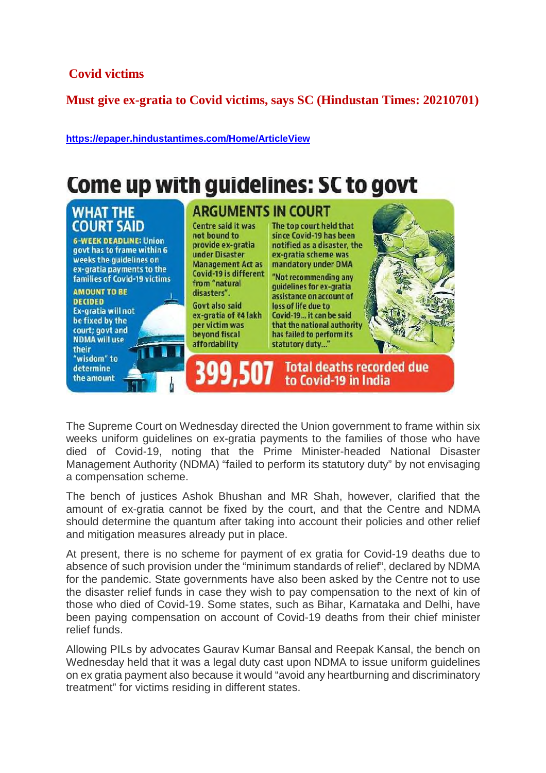### **Covid victims**

**Must give ex-gratia to Covid victims, says SC (Hindustan Times: 20210701)**

**https://epaper.hindustantimes.com/Home/ArticleView**

### Come up with guidelines: SC to govt

### **WHAT THE COURT SAID**

**6-WEEK DEADLINE: Union** govt has to frame within 6 weeks the quidelines on ex-gratia payments to the families of Covid-19 victims

**AMOUNT TO BE DECIDED** Ex-gratia will not be fixed by the court; govt and **NDMA** will use their "wisdom" to determine

the amount

**ARGUMENTS IN COURT** Centre said it was not bound to provide ex-gratia under Disaster from "natural disasters". Govt also said ex-gratia of ₹4 lakh

Management Act as mandatory under DMA

per victim was beyond fiscal affordability

399.50

since Covid-19 has been notified as a disaster, the ex-gratia scheme was Covid-19 is different "Not recommending any quidelines for ex-gratia assistance on account of

The top court held that

loss of life due to Covid-19... it can be said that the national authority has failed to perform its statutory duty..."

to Covid-19 in India



The Supreme Court on Wednesday directed the Union government to frame within six weeks uniform guidelines on ex-gratia payments to the families of those who have died of Covid-19, noting that the Prime Minister-headed National Disaster Management Authority (NDMA) "failed to perform its statutory duty" by not envisaging a compensation scheme.

The bench of justices Ashok Bhushan and MR Shah, however, clarified that the amount of ex-gratia cannot be fixed by the court, and that the Centre and NDMA should determine the quantum after taking into account their policies and other relief and mitigation measures already put in place.

At present, there is no scheme for payment of ex gratia for Covid-19 deaths due to absence of such provision under the "minimum standards of relief", declared by NDMA for the pandemic. State governments have also been asked by the Centre not to use the disaster relief funds in case they wish to pay compensation to the next of kin of those who died of Covid-19. Some states, such as Bihar, Karnataka and Delhi, have been paying compensation on account of Covid-19 deaths from their chief minister relief funds.

Allowing PILs by advocates Gaurav Kumar Bansal and Reepak Kansal, the bench on Wednesday held that it was a legal duty cast upon NDMA to issue uniform guidelines on ex gratia payment also because it would "avoid any heartburning and discriminatory treatment" for victims residing in different states.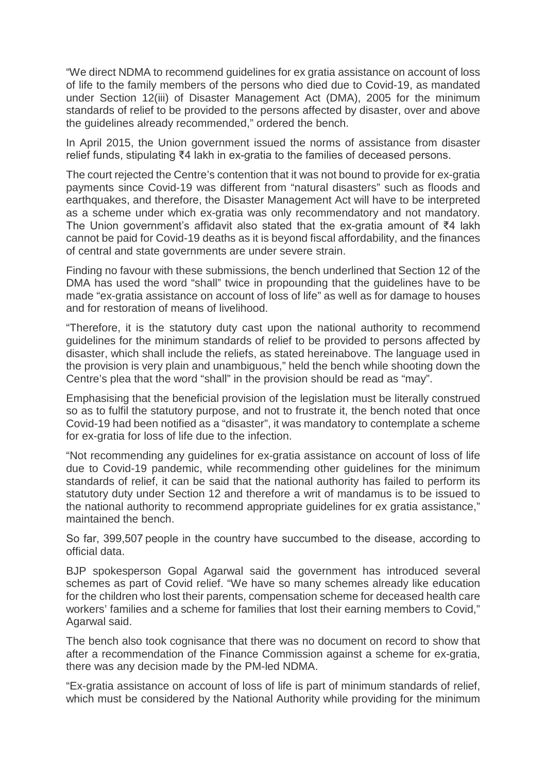"We direct NDMA to recommend guidelines for ex gratia assistance on account of loss of life to the family members of the persons who died due to Covid-19, as mandated under Section 12(iii) of Disaster Management Act (DMA), 2005 for the minimum standards of relief to be provided to the persons affected by disaster, over and above the guidelines already recommended," ordered the bench.

In April 2015, the Union government issued the norms of assistance from disaster relief funds, stipulating ₹4 lakh in ex-gratia to the families of deceased persons.

The court rejected the Centre's contention that it was not bound to provide for ex-gratia payments since Covid-19 was different from "natural disasters" such as floods and earthquakes, and therefore, the Disaster Management Act will have to be interpreted as a scheme under which ex-gratia was only recommendatory and not mandatory. The Union government's affidavit also stated that the ex-gratia amount of ₹4 lakh cannot be paid for Covid-19 deaths as it is beyond fiscal affordability, and the finances of central and state governments are under severe strain.

Finding no favour with these submissions, the bench underlined that Section 12 of the DMA has used the word "shall" twice in propounding that the guidelines have to be made "ex-gratia assistance on account of loss of life" as well as for damage to houses and for restoration of means of livelihood.

"Therefore, it is the statutory duty cast upon the national authority to recommend guidelines for the minimum standards of relief to be provided to persons affected by disaster, which shall include the reliefs, as stated hereinabove. The language used in the provision is very plain and unambiguous," held the bench while shooting down the Centre's plea that the word "shall" in the provision should be read as "may".

Emphasising that the beneficial provision of the legislation must be literally construed so as to fulfil the statutory purpose, and not to frustrate it, the bench noted that once Covid-19 had been notified as a "disaster", it was mandatory to contemplate a scheme for ex-gratia for loss of life due to the infection.

"Not recommending any guidelines for ex-gratia assistance on account of loss of life due to Covid-19 pandemic, while recommending other guidelines for the minimum standards of relief, it can be said that the national authority has failed to perform its statutory duty under Section 12 and therefore a writ of mandamus is to be issued to the national authority to recommend appropriate guidelines for ex gratia assistance," maintained the bench.

So far, 399,507 people in the country have succumbed to the disease, according to official data.

BJP spokesperson Gopal Agarwal said the government has introduced several schemes as part of Covid relief. "We have so many schemes already like education for the children who lost their parents, compensation scheme for deceased health care workers' families and a scheme for families that lost their earning members to Covid," Agarwal said.

The bench also took cognisance that there was no document on record to show that after a recommendation of the Finance Commission against a scheme for ex-gratia, there was any decision made by the PM-led NDMA.

"Ex-gratia assistance on account of loss of life is part of minimum standards of relief, which must be considered by the National Authority while providing for the minimum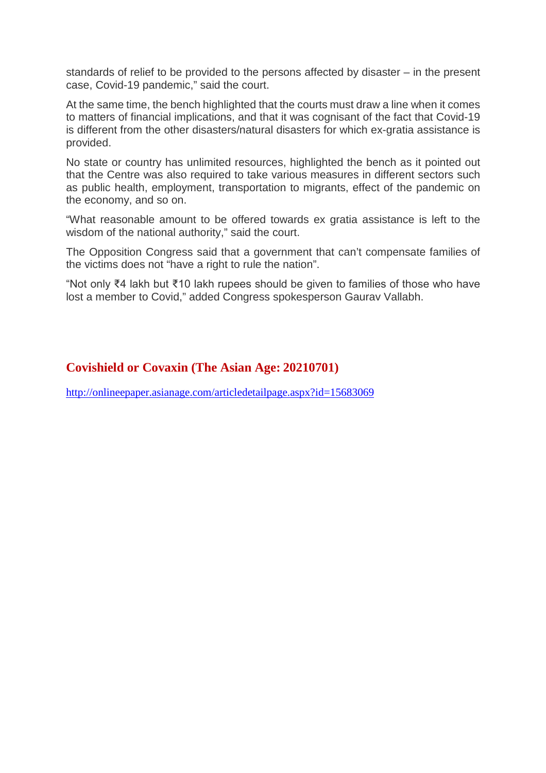standards of relief to be provided to the persons affected by disaster – in the present case, Covid-19 pandemic," said the court.

At the same time, the bench highlighted that the courts must draw a line when it comes to matters of financial implications, and that it was cognisant of the fact that Covid-19 is different from the other disasters/natural disasters for which ex-gratia assistance is provided.

No state or country has unlimited resources, highlighted the bench as it pointed out that the Centre was also required to take various measures in different sectors such as public health, employment, transportation to migrants, effect of the pandemic on the economy, and so on.

"What reasonable amount to be offered towards ex gratia assistance is left to the wisdom of the national authority," said the court.

The Opposition Congress said that a government that can't compensate families of the victims does not "have a right to rule the nation".

"Not only ₹4 lakh but ₹10 lakh rupees should be given to families of those who have lost a member to Covid," added Congress spokesperson Gaurav Vallabh.

### **Covishield or Covaxin (The Asian Age: 20210701)**

http://onlineepaper.asianage.com/articledetailpage.aspx?id=15683069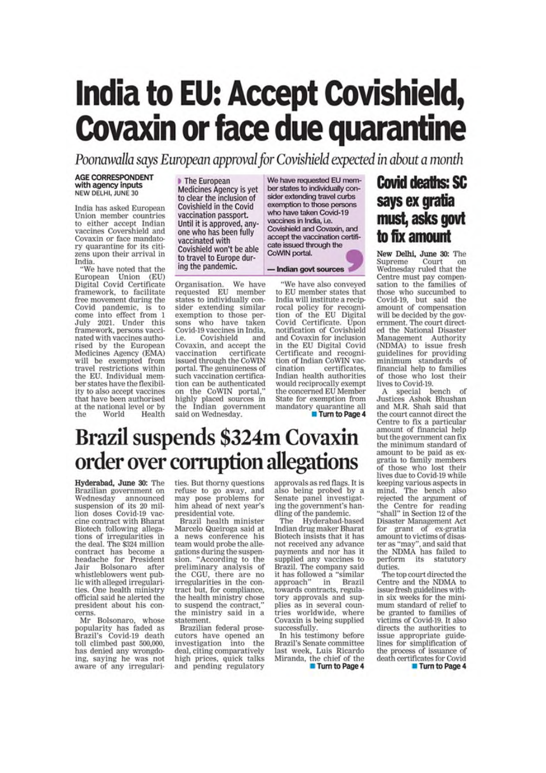# **India to EU: Accept Covishield, Covaxin or face due quarantine**

Poonawalla says European approval for Covishield expected in about a month

#### **AGE CORRESPONDENT** with agency inputs NEW DELHI, JUNE 30

India has asked European Union member countries to either accept Indian vaccines Covershield and Covaxin or face mandatory quarantine for its citizens upon their arrival in India.

"We have noted that the<br>European Union (EU)<br>Digital Covid Certificate<br>framework, to facilitate<br>free movement during the Covid pandemic, is to come into effect from 1<br>July 2021. Under this framework, persons vaccinated with vaccines authorised by the European Medicines Agency (EMA) will be exempted from travel restrictions within the EU, Individual member states have the flexibility to also accept vaccines that have been authorised at the national level or by  $the$ World Health

The European Medicines Agency is yet to clear the inclusion of Covishield in the Covid vaccination passport. Until it is approved, anyone who has been fully vaccinated with Covishield won't be able to travel to Europe during the pandemic.

Organisation. We have<br>requested EU member states to individually consider extending similar exemption to those persons who have taken Covid-19 vaccines in India. Covishield and i.e. Covaxin, and accept the vaccination certificate issued through the CoWIN portal. The genuineness of such vaccination certification can be authenticated on the CoWIN portal,' highly placed sources in the Indian government said on Wednesday.

We have requested EU member states to individually consider extending travel curbs<br>exemption to those persons who have taken Covid-19 vaccines in India, i.e. Covishield and Covaxin, and accept the vaccination certificate issued through the CoWIN portal.

#### - Indian govt sources

'We have also conveyed to EU member states that India will institute a reciprocal policy for recogni-<br>tion of the EU Digital<br>Covid Certificate. Upon notification of Covishield and Covaxin for inclusion in the EU Digital Covid Certificate and recognition of Indian CoWIN vaccination certificates. Indian health authorities would reciprocally exempt the concerned EU Member State for exemption from mandatory quarantine all Turn to Page 4

### **Covid deaths: SC** says ex gratia must, asks govt to fix amount

New Delhi, June 30: The Supreme Court Wednesday ruled that the Centre must pay compensation to the families of<br>those who succumbed to Covid-19, but said the<br>amount of compensation will be decided by the government. The court directed the National Disaster Management Authority (NDMA) to issue fresh guidelines for providing minimum standards of financial help to families of those who lost their lives to Covid-19.

A special bench of<br>Justices Ashok Bhushan<br>and M.R. Shah said that the court cannot direct the Centre to fix a particular amount of financial help but the government can fix the minimum standard of amount to be paid as exgratia to family members<br>of those who lost their lives due to Covid-19 while keeping various aspects in<br>mind. The bench also<br>rejected the argument of the Centre for reading<br>"shall" in Section 12 of the Disaster Management Act for grant of ex-gratia amount to victims of disaster as "may", and said that<br>the NDMA has failed to its perform statutory duties.

The top court directed the Centre and the NDMA to issue fresh guidelines within six weeks for the minimum standard of relief to be granted to families of victims of Covid-19. It also directs the authorities to issue appropriate guidelines for simplification of the process of issuance of death certificates for Covid

## **Brazil suspends \$324m Covaxin** order over corruption allegations

Hyderabad, June 30: The Brazilian government on Wednesday announced suspension of its 20 mil-<br>lion doses Covid-19 vaccine contract with Bharat Biotech following allegablocker following allega-<br>tions of irregularities in<br>the deal. The \$324 million contract has become a headache for President Bolsonaro Jair. after whistleblowers went public with alleged irregularities. One health ministry official said he alerted the president about his concerns.

Mr Bolsonaro, whose popularity has faded as<br>Brazil's Covid-19 death<br>toll climbed past 500,000, has denied any wrongdo-<br>ing, saying he was not aware of any irregularities. But thorny questions refuse to go away, and<br>may pose problems for<br>him ahead of next year's presidential vote.

Brazil health minister Marcelo Queiroga said at a news conference his team would probe the allegations during the suspension. "According to the preliminary analysis of<br>the CGU, there are no irregularities in the contract but, for compliance, the health ministry chose to suspend the contract," the ministry said in a statement.

Brazilian federal prosecutors have opened an<br>investigation into the deal, citing comparatively high prices, quick talks and pending regulatory

approvals as red flags. It is also being probed by a<br>Senate panel investigating the government's handling of the pandemic.

Hyderabad-based The Indian drug maker Bharat Biotech insists that it has not received any advance payments and nor has it supplied any vaccines to Brazil. The company said it has followed a "similar approach" in Brazil towards contracts, regulatory approvals and supplies as in several countries worldwide, where Covaxín is being supplied successfully.

In his testimony before Brazil's Senate committee last week, Luis Ricardo Miranda, the chief of the

Turn to Page 4

Turn to Page 4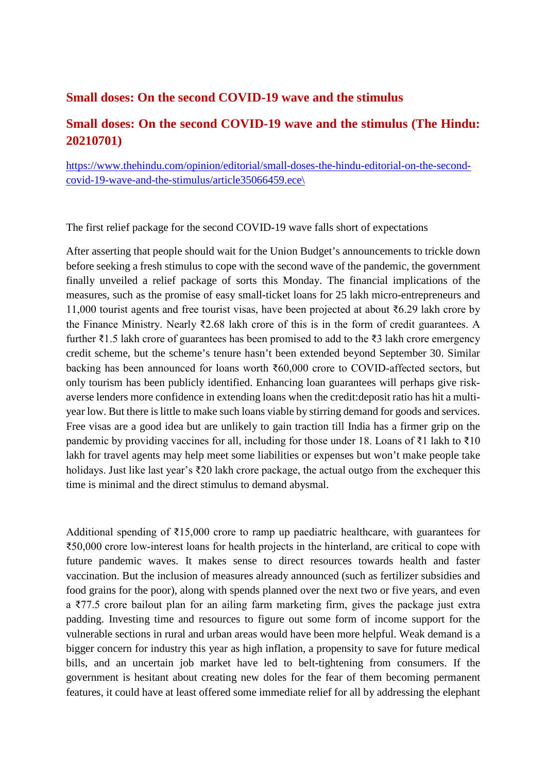### **Small doses: On the second COVID-19 wave and the stimulus**

### **Small doses: On the second COVID-19 wave and the stimulus (The Hindu: 20210701)**

https://www.thehindu.com/opinion/editorial/small-doses-the-hindu-editorial-on-the-secondcovid-19-wave-and-the-stimulus/article35066459.ece\

The first relief package for the second COVID-19 wave falls short of expectations

After asserting that people should wait for the Union Budget's announcements to trickle down before seeking a fresh stimulus to cope with the second wave of the pandemic, the government finally unveiled a relief package of sorts this Monday. The financial implications of the measures, such as the promise of easy small-ticket loans for 25 lakh micro-entrepreneurs and 11,000 tourist agents and free tourist visas, have been projected at about ₹6.29 lakh crore by the Finance Ministry. Nearly ₹2.68 lakh crore of this is in the form of credit guarantees. A further ₹1.5 lakh crore of guarantees has been promised to add to the ₹3 lakh crore emergency credit scheme, but the scheme's tenure hasn't been extended beyond September 30. Similar backing has been announced for loans worth ₹60,000 crore to COVID-affected sectors, but only tourism has been publicly identified. Enhancing loan guarantees will perhaps give riskaverse lenders more confidence in extending loans when the credit:deposit ratio has hit a multiyear low. But there is little to make such loans viable by stirring demand for goods and services. Free visas are a good idea but are unlikely to gain traction till India has a firmer grip on the pandemic by providing vaccines for all, including for those under 18. Loans of ₹1 lakh to ₹10 lakh for travel agents may help meet some liabilities or expenses but won't make people take holidays. Just like last year's ₹20 lakh crore package, the actual outgo from the exchequer this time is minimal and the direct stimulus to demand abysmal.

Additional spending of ₹15,000 crore to ramp up paediatric healthcare, with guarantees for ₹50,000 crore low-interest loans for health projects in the hinterland, are critical to cope with future pandemic waves. It makes sense to direct resources towards health and faster vaccination. But the inclusion of measures already announced (such as fertilizer subsidies and food grains for the poor), along with spends planned over the next two or five years, and even a ₹77.5 crore bailout plan for an ailing farm marketing firm, gives the package just extra padding. Investing time and resources to figure out some form of income support for the vulnerable sections in rural and urban areas would have been more helpful. Weak demand is a bigger concern for industry this year as high inflation, a propensity to save for future medical bills, and an uncertain job market have led to belt-tightening from consumers. If the government is hesitant about creating new doles for the fear of them becoming permanent features, it could have at least offered some immediate relief for all by addressing the elephant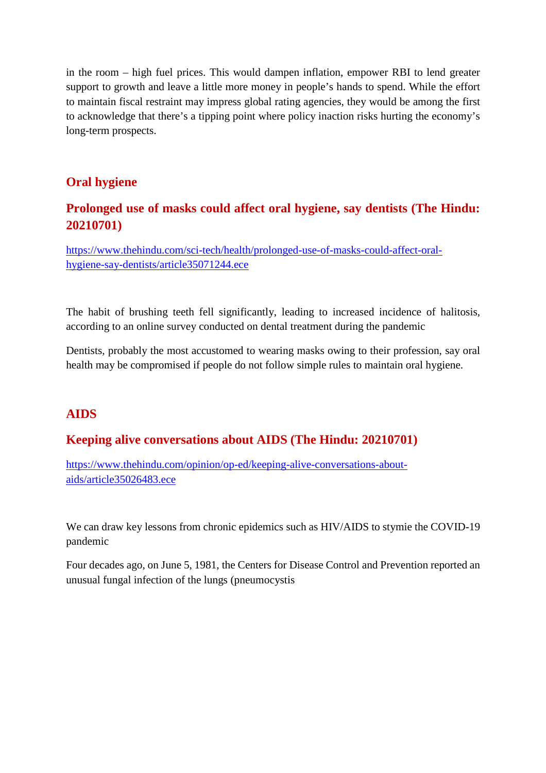in the room – high fuel prices. This would dampen inflation, empower RBI to lend greater support to growth and leave a little more money in people's hands to spend. While the effort to maintain fiscal restraint may impress global rating agencies, they would be among the first to acknowledge that there's a tipping point where policy inaction risks hurting the economy's long-term prospects.

### **Oral hygiene**

### **Prolonged use of masks could affect oral hygiene, say dentists (The Hindu: 20210701)**

https://www.thehindu.com/sci-tech/health/prolonged-use-of-masks-could-affect-oralhygiene-say-dentists/article35071244.ece

The habit of brushing teeth fell significantly, leading to increased incidence of halitosis, according to an online survey conducted on dental treatment during the pandemic

Dentists, probably the most accustomed to wearing masks owing to their profession, say oral health may be compromised if people do not follow simple rules to maintain oral hygiene.

### **AIDS**

### **Keeping alive conversations about AIDS (The Hindu: 20210701)**

https://www.thehindu.com/opinion/op-ed/keeping-alive-conversations-aboutaids/article35026483.ece

We can draw key lessons from chronic epidemics such as HIV/AIDS to stymie the COVID-19 pandemic

Four decades ago, on June 5, 1981, the Centers for Disease Control and Prevention reported an unusual fungal infection of the lungs (pneumocystis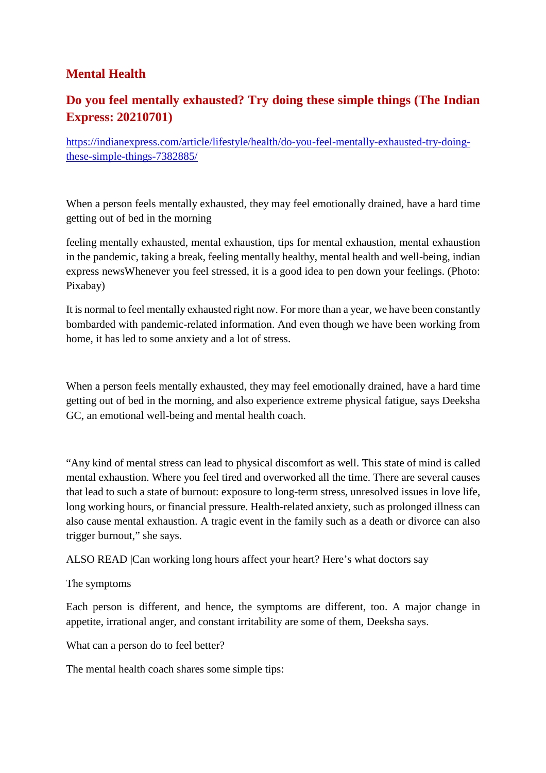### **Mental Health**

### **Do you feel mentally exhausted? Try doing these simple things (The Indian Express: 20210701)**

https://indianexpress.com/article/lifestyle/health/do-you-feel-mentally-exhausted-try-doingthese-simple-things-7382885/

When a person feels mentally exhausted, they may feel emotionally drained, have a hard time getting out of bed in the morning

feeling mentally exhausted, mental exhaustion, tips for mental exhaustion, mental exhaustion in the pandemic, taking a break, feeling mentally healthy, mental health and well-being, indian express newsWhenever you feel stressed, it is a good idea to pen down your feelings. (Photo: Pixabay)

It is normal to feel mentally exhausted right now. For more than a year, we have been constantly bombarded with pandemic-related information. And even though we have been working from home, it has led to some anxiety and a lot of stress.

When a person feels mentally exhausted, they may feel emotionally drained, have a hard time getting out of bed in the morning, and also experience extreme physical fatigue, says Deeksha GC, an emotional well-being and mental health coach.

"Any kind of mental stress can lead to physical discomfort as well. This state of mind is called mental exhaustion. Where you feel tired and overworked all the time. There are several causes that lead to such a state of burnout: exposure to long-term stress, unresolved issues in love life, long working hours, or financial pressure. Health-related anxiety, such as prolonged illness can also cause mental exhaustion. A tragic event in the family such as a death or divorce can also trigger burnout," she says.

ALSO READ |Can working long hours affect your heart? Here's what doctors say

The symptoms

Each person is different, and hence, the symptoms are different, too. A major change in appetite, irrational anger, and constant irritability are some of them, Deeksha says.

What can a person do to feel better?

The mental health coach shares some simple tips: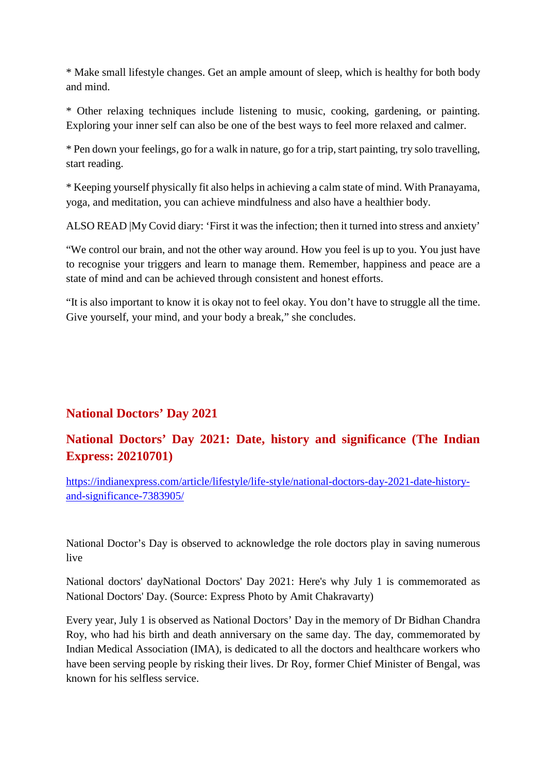\* Make small lifestyle changes. Get an ample amount of sleep, which is healthy for both body and mind.

\* Other relaxing techniques include listening to music, cooking, gardening, or painting. Exploring your inner self can also be one of the best ways to feel more relaxed and calmer.

\* Pen down your feelings, go for a walk in nature, go for a trip, start painting, try solo travelling, start reading.

\* Keeping yourself physically fit also helps in achieving a calm state of mind. With Pranayama, yoga, and meditation, you can achieve mindfulness and also have a healthier body.

ALSO READ |My Covid diary: 'First it was the infection; then it turned into stress and anxiety'

"We control our brain, and not the other way around. How you feel is up to you. You just have to recognise your triggers and learn to manage them. Remember, happiness and peace are a state of mind and can be achieved through consistent and honest efforts.

"It is also important to know it is okay not to feel okay. You don't have to struggle all the time. Give yourself, your mind, and your body a break," she concludes.

### **National Doctors' Day 2021**

### **National Doctors' Day 2021: Date, history and significance (The Indian Express: 20210701)**

https://indianexpress.com/article/lifestyle/life-style/national-doctors-day-2021-date-historyand-significance-7383905/

National Doctor's Day is observed to acknowledge the role doctors play in saving numerous live

National doctors' dayNational Doctors' Day 2021: Here's why July 1 is commemorated as National Doctors' Day. (Source: Express Photo by Amit Chakravarty)

Every year, July 1 is observed as National Doctors' Day in the memory of Dr Bidhan Chandra Roy, who had his birth and death anniversary on the same day. The day, commemorated by Indian Medical Association (IMA), is dedicated to all the doctors and healthcare workers who have been serving people by risking their lives. Dr Roy, former Chief Minister of Bengal, was known for his selfless service.